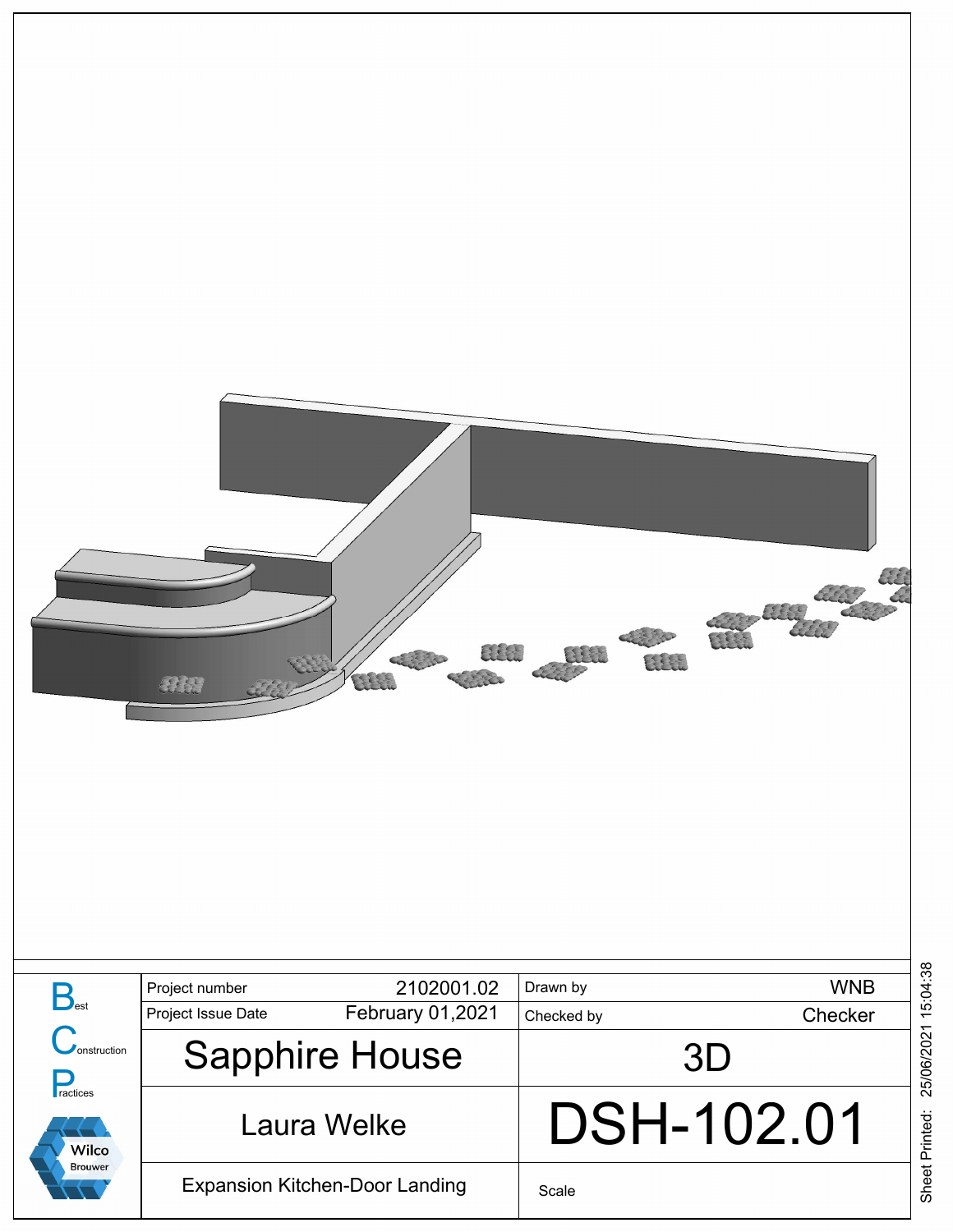

Sheet Printed: 25/06/2021 15:04:38 Sheet Printed: 25/06/2021 15:04:38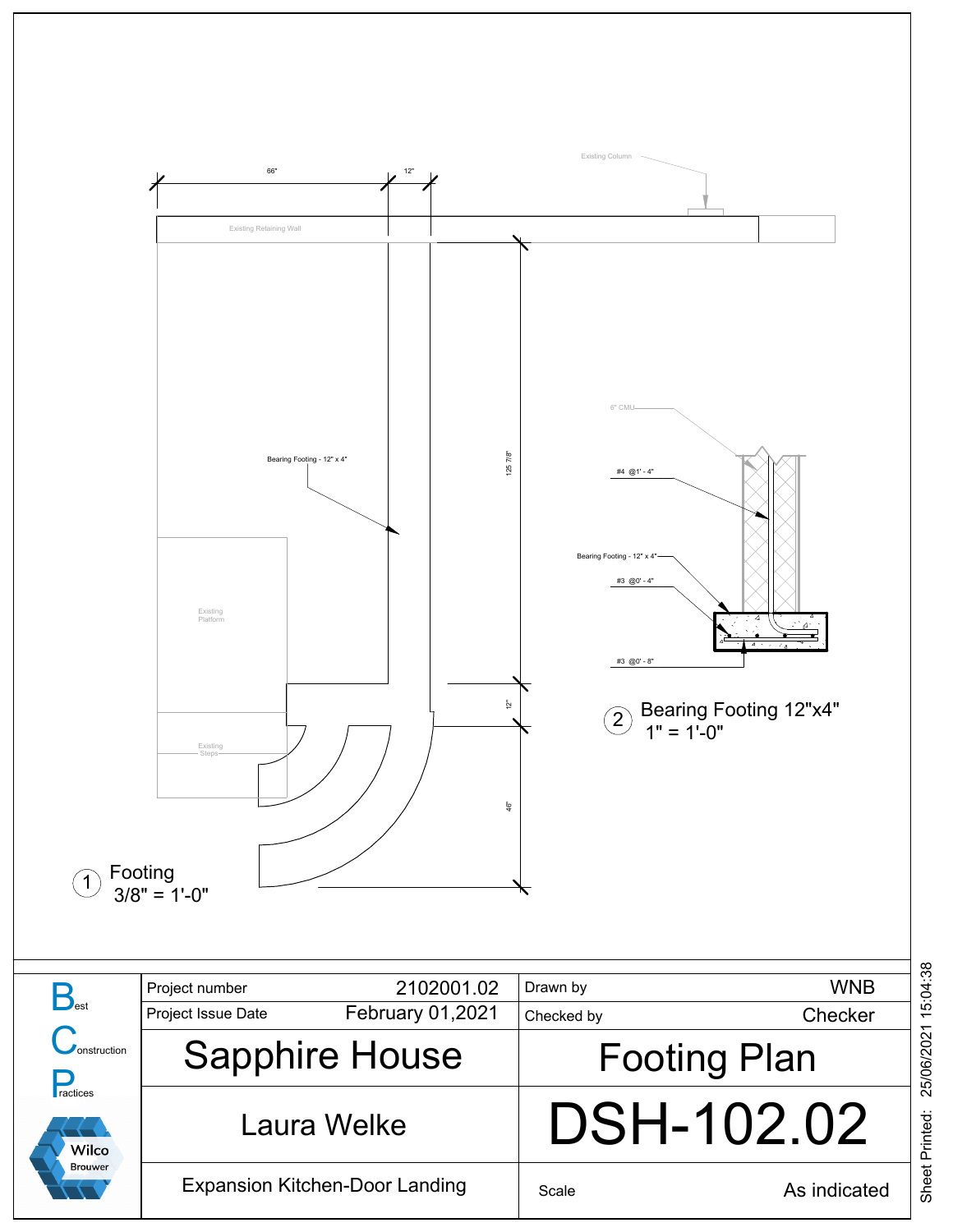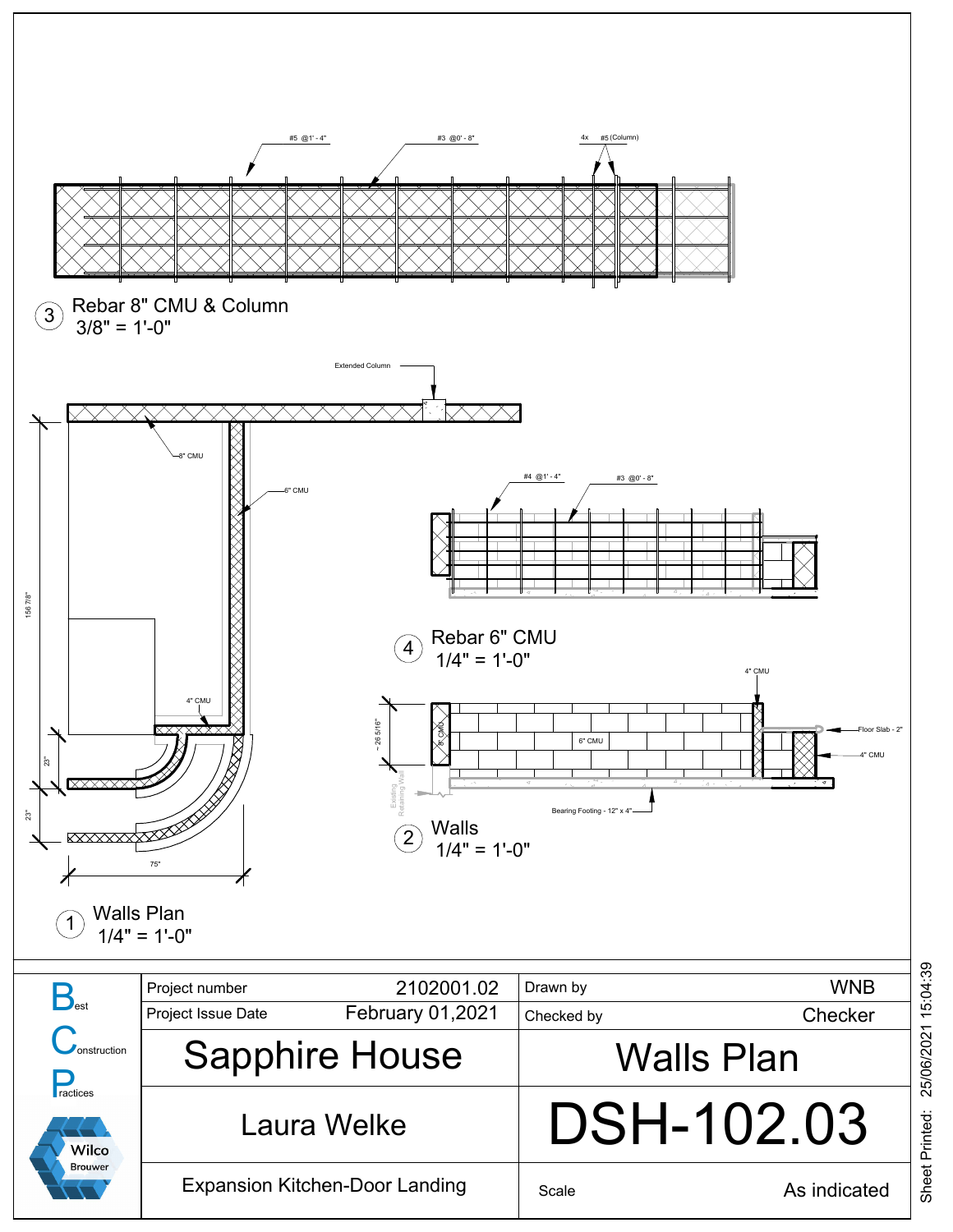